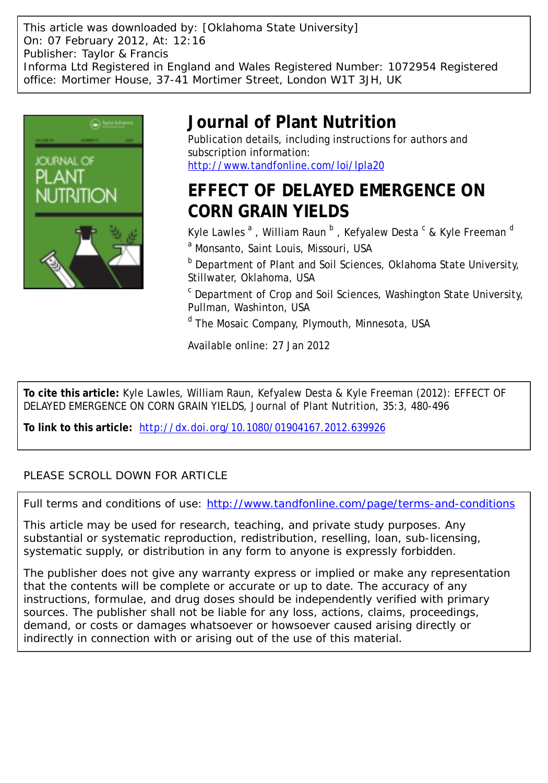This article was downloaded by: [Oklahoma State University] On: 07 February 2012, At: 12:16 Publisher: Taylor & Francis Informa Ltd Registered in England and Wales Registered Number: 1072954 Registered office: Mortimer House, 37-41 Mortimer Street, London W1T 3JH, UK



# **Journal of Plant Nutrition**

Publication details, including instructions for authors and subscription information: <http://www.tandfonline.com/loi/lpla20>

# **EFFECT OF DELAYED EMERGENCE ON CORN GRAIN YIELDS**

Kyle Lawles  $^{\rm a}$  , William Raun  $^{\rm b}$  , Kefyalew Desta  $^{\rm c}$  & Kyle Freeman  $^{\rm d}$ <sup>a</sup> Monsanto, Saint Louis, Missouri, USA

**b** Department of Plant and Soil Sciences, Oklahoma State University, Stillwater, Oklahoma, USA

<sup>c</sup> Department of Crop and Soil Sciences, Washington State University, Pullman, Washinton, USA

<sup>d</sup> The Mosaic Company, Plymouth, Minnesota, USA

Available online: 27 Jan 2012

**To cite this article:** Kyle Lawles, William Raun, Kefyalew Desta & Kyle Freeman (2012): EFFECT OF DELAYED EMERGENCE ON CORN GRAIN YIELDS, Journal of Plant Nutrition, 35:3, 480-496

**To link to this article:** <http://dx.doi.org/10.1080/01904167.2012.639926>

### PLEASE SCROLL DOWN FOR ARTICLE

Full terms and conditions of use:<http://www.tandfonline.com/page/terms-and-conditions>

This article may be used for research, teaching, and private study purposes. Any substantial or systematic reproduction, redistribution, reselling, loan, sub-licensing, systematic supply, or distribution in any form to anyone is expressly forbidden.

The publisher does not give any warranty express or implied or make any representation that the contents will be complete or accurate or up to date. The accuracy of any instructions, formulae, and drug doses should be independently verified with primary sources. The publisher shall not be liable for any loss, actions, claims, proceedings, demand, or costs or damages whatsoever or howsoever caused arising directly or indirectly in connection with or arising out of the use of this material.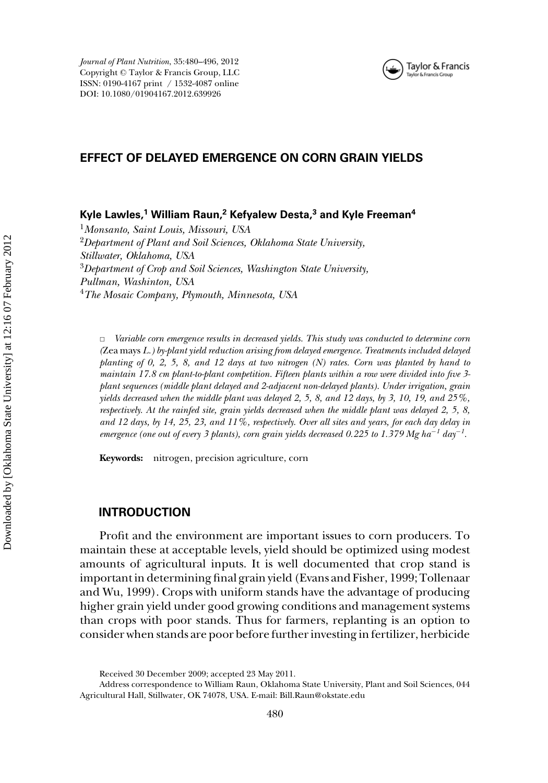

#### **EFFECT OF DELAYED EMERGENCE ON CORN GRAIN YIELDS**

**Kyle Lawles,<sup>1</sup> William Raun,<sup>2</sup> Kefyalew Desta,<sup>3</sup> and Kyle Freeman<sup>4</sup>**

*Monsanto, Saint Louis, Missouri, USA Department of Plant and Soil Sciences, Oklahoma State University, Stillwater, Oklahoma, USA Department of Crop and Soil Sciences, Washington State University, Pullman, Washinton, USA The Mosaic Company, Plymouth, Minnesota, USA*

✷ *Variable corn emergence results in decreased yields. This study was conducted to determine corn (*Zea mays *L.) by-plant yield reduction arising from delayed emergence. Treatments included delayed planting of 0, 2, 5, 8, and 12 days at two nitrogen (N) rates. Corn was planted by hand to maintain 17.8 cm plant-to-plant competition. Fifteen plants within a row were divided into five 3 plant sequences (middle plant delayed and 2-adjacent non-delayed plants). Under irrigation, grain yields decreased when the middle plant was delayed 2, 5, 8, and 12 days, by 3, 10, 19, and 25%, respectively. At the rainfed site, grain yields decreased when the middle plant was delayed 2, 5, 8, and 12 days, by 14, 25, 23, and 11%, respectively. Over all sites and years, for each day delay in emergence (one out of every 3 plants), corn grain yields decreased 0.225 to 1.379 Mg ha*−*<sup>1</sup> day*−*<sup>1</sup> .*

**Keywords:** nitrogen, precision agriculture, corn

#### **INTRODUCTION**

Profit and the environment are important issues to corn producers. To maintain these at acceptable levels, yield should be optimized using modest amounts of agricultural inputs. It is well documented that crop stand is important in determining final grain yield (Evans and Fisher, 1999; Tollenaar and Wu, 1999). Crops with uniform stands have the advantage of producing higher grain yield under good growing conditions and management systems than crops with poor stands. Thus for farmers, replanting is an option to consider when stands are poor before further investing in fertilizer, herbicide

Received 30 December 2009; accepted 23 May 2011.

Address correspondence to William Raun, Oklahoma State University, Plant and Soil Sciences, 044 Agricultural Hall, Stillwater, OK 74078, USA. E-mail: Bill.Raun@okstate.edu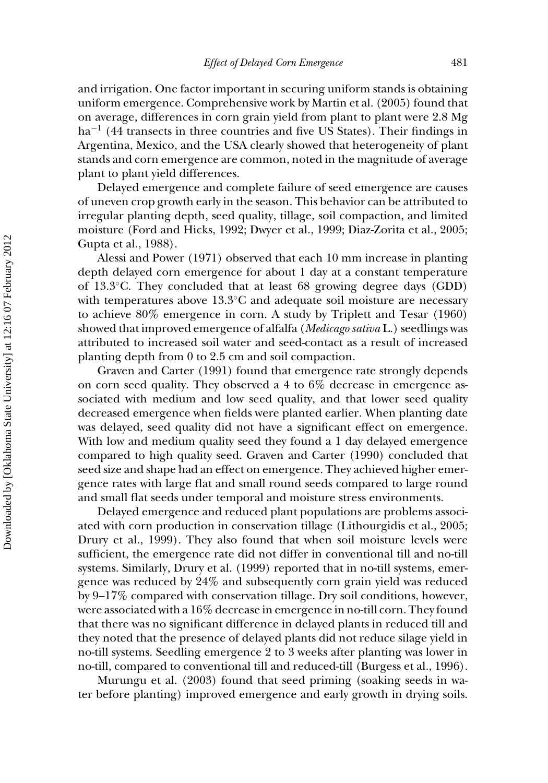and irrigation. One factor important in securing uniform stands is obtaining uniform emergence. Comprehensive work by Martin et al. (2005) found that on average, differences in corn grain yield from plant to plant were 2.8 Mg ha<sup>-1</sup> (44 transects in three countries and five US States). Their findings in Argentina, Mexico, and the USA clearly showed that heterogeneity of plant stands and corn emergence are common, noted in the magnitude of average plant to plant yield differences.

Delayed emergence and complete failure of seed emergence are causes of uneven crop growth early in the season. This behavior can be attributed to irregular planting depth, seed quality, tillage, soil compaction, and limited moisture (Ford and Hicks, 1992; Dwyer et al., 1999; Diaz-Zorita et al., 2005; Gupta et al., 1988).

Alessi and Power (1971) observed that each 10 mm increase in planting depth delayed corn emergence for about 1 day at a constant temperature of 13.3◦C. They concluded that at least 68 growing degree days (GDD) with temperatures above 13.3◦C and adequate soil moisture are necessary to achieve 80% emergence in corn. A study by Triplett and Tesar (1960) showed that improved emergence of alfalfa (*Medicago sativa* L.) seedlings was attributed to increased soil water and seed-contact as a result of increased planting depth from 0 to 2.5 cm and soil compaction.

Graven and Carter (1991) found that emergence rate strongly depends on corn seed quality. They observed a 4 to 6% decrease in emergence associated with medium and low seed quality, and that lower seed quality decreased emergence when fields were planted earlier. When planting date was delayed, seed quality did not have a significant effect on emergence. With low and medium quality seed they found a 1 day delayed emergence compared to high quality seed. Graven and Carter (1990) concluded that seed size and shape had an effect on emergence. They achieved higher emergence rates with large flat and small round seeds compared to large round and small flat seeds under temporal and moisture stress environments.

Delayed emergence and reduced plant populations are problems associated with corn production in conservation tillage (Lithourgidis et al., 2005; Drury et al., 1999). They also found that when soil moisture levels were sufficient, the emergence rate did not differ in conventional till and no-till systems. Similarly, Drury et al. (1999) reported that in no-till systems, emergence was reduced by 24% and subsequently corn grain yield was reduced by 9–17% compared with conservation tillage. Dry soil conditions, however, were associated with a 16% decrease in emergence in no-till corn. They found that there was no significant difference in delayed plants in reduced till and they noted that the presence of delayed plants did not reduce silage yield in no-till systems. Seedling emergence 2 to 3 weeks after planting was lower in no-till, compared to conventional till and reduced-till (Burgess et al., 1996).

Murungu et al. (2003) found that seed priming (soaking seeds in water before planting) improved emergence and early growth in drying soils.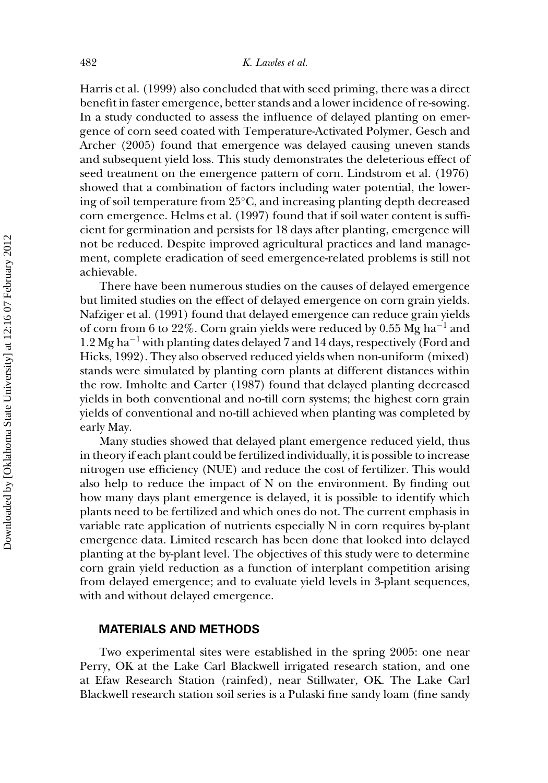Harris et al. (1999) also concluded that with seed priming, there was a direct benefit in faster emergence, better stands and a lower incidence of re-sowing. In a study conducted to assess the influence of delayed planting on emergence of corn seed coated with Temperature-Activated Polymer, Gesch and Archer (2005) found that emergence was delayed causing uneven stands and subsequent yield loss. This study demonstrates the deleterious effect of seed treatment on the emergence pattern of corn. Lindstrom et al. (1976) showed that a combination of factors including water potential, the lowering of soil temperature from 25◦C, and increasing planting depth decreased corn emergence. Helms et al. (1997) found that if soil water content is sufficient for germination and persists for 18 days after planting, emergence will not be reduced. Despite improved agricultural practices and land management, complete eradication of seed emergence-related problems is still not achievable.

There have been numerous studies on the causes of delayed emergence but limited studies on the effect of delayed emergence on corn grain yields. Nafziger et al. (1991) found that delayed emergence can reduce grain yields of corn from 6 to 22%. Corn grain yields were reduced by 0.55 Mg ha−<sup>1</sup> and 1.2 Mg ha−<sup>1</sup> with planting dates delayed 7 and 14 days, respectively (Ford and Hicks, 1992). They also observed reduced yields when non-uniform (mixed) stands were simulated by planting corn plants at different distances within the row. Imholte and Carter (1987) found that delayed planting decreased yields in both conventional and no-till corn systems; the highest corn grain yields of conventional and no-till achieved when planting was completed by early May.

Many studies showed that delayed plant emergence reduced yield, thus in theory if each plant could be fertilized individually, it is possible to increase nitrogen use efficiency (NUE) and reduce the cost of fertilizer. This would also help to reduce the impact of N on the environment. By finding out how many days plant emergence is delayed, it is possible to identify which plants need to be fertilized and which ones do not. The current emphasis in variable rate application of nutrients especially N in corn requires by-plant emergence data. Limited research has been done that looked into delayed planting at the by-plant level. The objectives of this study were to determine corn grain yield reduction as a function of interplant competition arising from delayed emergence; and to evaluate yield levels in 3-plant sequences, with and without delayed emergence.

#### **MATERIALS AND METHODS**

Two experimental sites were established in the spring 2005: one near Perry, OK at the Lake Carl Blackwell irrigated research station, and one at Efaw Research Station (rainfed), near Stillwater, OK. The Lake Carl Blackwell research station soil series is a Pulaski fine sandy loam (fine sandy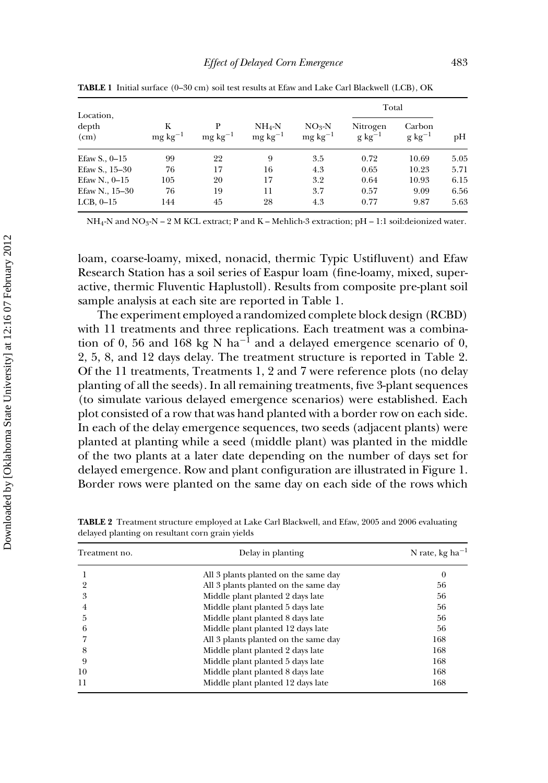| Location,        |                    |                           |                                  |                                    | Total                    |                        |      |
|------------------|--------------------|---------------------------|----------------------------------|------------------------------------|--------------------------|------------------------|------|
| depth<br>(cm)    | K<br>$mg\,kg^{-1}$ | P<br>$mg \text{ kg}^{-1}$ | $NH_4-N$<br>$mg \text{ kg}^{-1}$ | $NO_3-N$<br>$mg \, \text{kg}^{-1}$ | Nitrogen<br>$g\ kg^{-1}$ | Carbon<br>$g\ kg^{-1}$ | pH   |
| Efaw S., $0-15$  | 99                 | 22                        | 9                                | 3.5                                | 0.72                     | 10.69                  | 5.05 |
| Efaw S., $15-30$ | 76                 | 17                        | 16                               | 4.3                                | 0.65                     | 10.23                  | 5.71 |
| Efaw N., $0-15$  | 105                | 20                        | 17                               | 3.2                                | 0.64                     | 10.93                  | 6.15 |
| Efaw N., $15-30$ | 76                 | 19                        | 11                               | 3.7                                | 0.57                     | 9.09                   | 6.56 |
| LCB, $0-15$      | 144                | 45                        | 28                               | 4.3                                | 0.77                     | 9.87                   | 5.63 |

**TABLE 1** Initial surface (0–30 cm) soil test results at Efaw and Lake Carl Blackwell (LCB), OK

NH<sub>4</sub>-N and NO<sub>3</sub>-N – 2 M KCL extract; P and K – Mehlich-3 extraction; pH – 1:1 soil:deionized water.

loam, coarse-loamy, mixed, nonacid, thermic Typic Ustifluvent) and Efaw Research Station has a soil series of Easpur loam (fine-loamy, mixed, superactive, thermic Fluventic Haplustoll). Results from composite pre-plant soil sample analysis at each site are reported in Table 1.

The experiment employed a randomized complete block design (RCBD) with 11 treatments and three replications. Each treatment was a combination of 0, 56 and 168 kg N ha<sup>-1</sup> and a delayed emergence scenario of 0, 2, 5, 8, and 12 days delay. The treatment structure is reported in Table 2. Of the 11 treatments, Treatments 1, 2 and 7 were reference plots (no delay planting of all the seeds). In all remaining treatments, five 3-plant sequences (to simulate various delayed emergence scenarios) were established. Each plot consisted of a row that was hand planted with a border row on each side. In each of the delay emergence sequences, two seeds (adjacent plants) were planted at planting while a seed (middle plant) was planted in the middle of the two plants at a later date depending on the number of days set for delayed emergence. Row and plant configuration are illustrated in Figure 1. Border rows were planted on the same day on each side of the rows which

| Treatment no. | Delay in planting                    | N rate, kg ha $^{-1}$<br>0 |  |  |
|---------------|--------------------------------------|----------------------------|--|--|
|               | All 3 plants planted on the same day |                            |  |  |
|               | All 3 plants planted on the same day | 56                         |  |  |
| 3             | Middle plant planted 2 days late     | 56                         |  |  |
|               | Middle plant planted 5 days late     | 56                         |  |  |
| 5             | Middle plant planted 8 days late     | 56                         |  |  |
| 6             | Middle plant planted 12 days late    | 56                         |  |  |
|               | All 3 plants planted on the same day | 168                        |  |  |
| 8             | Middle plant planted 2 days late     | 168                        |  |  |
| 9             | Middle plant planted 5 days late     | 168                        |  |  |
| 10            | Middle plant planted 8 days late     | 168                        |  |  |
| 11            | Middle plant planted 12 days late    | 168                        |  |  |

**TABLE 2** Treatment structure employed at Lake Carl Blackwell, and Efaw, 2005 and 2006 evaluating delayed planting on resultant corn grain yields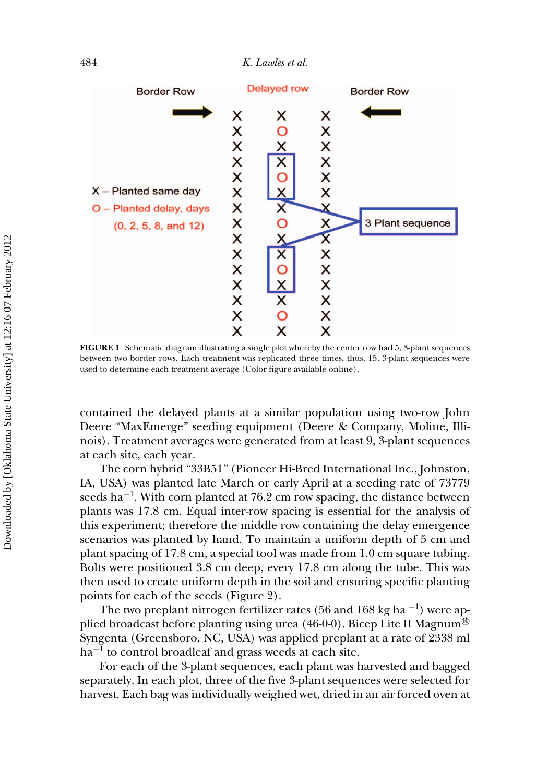484 *K. Lawles et al.*



**FIGURE 1** Schematic diagram illustrating a single plot whereby the center row had 5, 3-plant sequences between two border rows. Each treatment was replicated three times, thus, 15, 3-plant sequences were used to determine each treatment average (Color figure available online).

contained the delayed plants at a similar population using two-row John Deere "MaxEmerge" seeding equipment (Deere & Company, Moline, Illinois). Treatment averages were generated from at least 9, 3-plant sequences at each site, each year.

The corn hybrid "33B51" (Pioneer Hi-Bred International Inc., Johnston, IA, USA) was planted late March or early April at a seeding rate of 73779 seeds ha<sup> $-1$ </sup>. With corn planted at 76.2 cm row spacing, the distance between plants was 17.8 cm. Equal inter-row spacing is essential for the analysis of this experiment; therefore the middle row containing the delay emergence scenarios was planted by hand. To maintain a uniform depth of 5 cm and plant spacing of 17.8 cm, a special tool was made from 1.0 cm square tubing. Bolts were positioned 3.8 cm deep, every 17.8 cm along the tube. This was then used to create uniform depth in the soil and ensuring specific planting points for each of the seeds (Figure 2).

The two preplant nitrogen fertilizer rates (56 and 168 kg ha<sup>-1</sup>) were applied broadcast before planting using urea (46-0-0). Bicep Lite II Magnum<sup>®</sup> Syngenta (Greensboro, NC, USA) was applied preplant at a rate of 2338 ml  $ha^{-1}$  to control broadleaf and grass weeds at each site.

For each of the 3-plant sequences, each plant was harvested and bagged separately. In each plot, three of the five 3-plant sequences were selected for harvest. Each bag was individually weighed wet, dried in an air forced oven at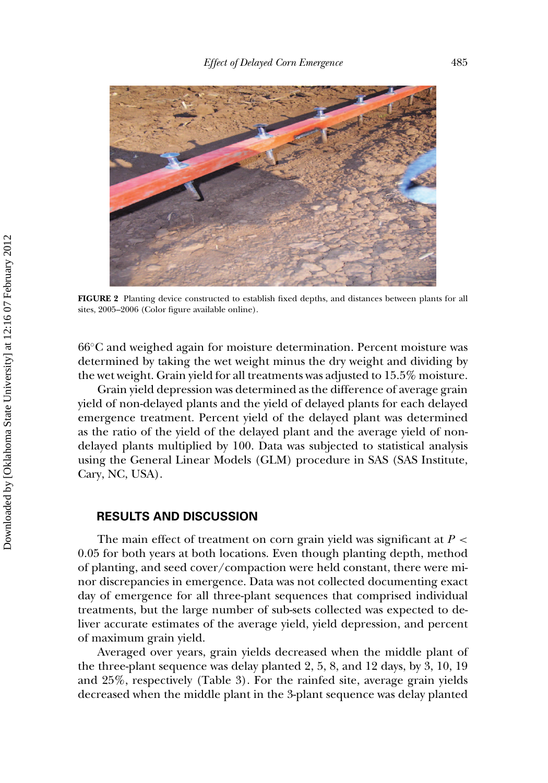

**FIGURE 2** Planting device constructed to establish fixed depths, and distances between plants for all sites, 2005–2006 (Color figure available online).

66◦C and weighed again for moisture determination. Percent moisture was determined by taking the wet weight minus the dry weight and dividing by the wet weight. Grain yield for all treatments was adjusted to 15.5% moisture.

Grain yield depression was determined as the difference of average grain yield of non-delayed plants and the yield of delayed plants for each delayed emergence treatment. Percent yield of the delayed plant was determined as the ratio of the yield of the delayed plant and the average yield of nondelayed plants multiplied by 100. Data was subjected to statistical analysis using the General Linear Models (GLM) procedure in SAS (SAS Institute, Cary, NC, USA).

#### **RESULTS AND DISCUSSION**

The main effect of treatment on corn grain yield was significant at *P <* 0.05 for both years at both locations. Even though planting depth, method of planting, and seed cover/compaction were held constant, there were minor discrepancies in emergence. Data was not collected documenting exact day of emergence for all three-plant sequences that comprised individual treatments, but the large number of sub-sets collected was expected to deliver accurate estimates of the average yield, yield depression, and percent of maximum grain yield.

Averaged over years, grain yields decreased when the middle plant of the three-plant sequence was delay planted 2, 5, 8, and 12 days, by 3, 10, 19 and 25%, respectively (Table 3). For the rainfed site, average grain yields decreased when the middle plant in the 3-plant sequence was delay planted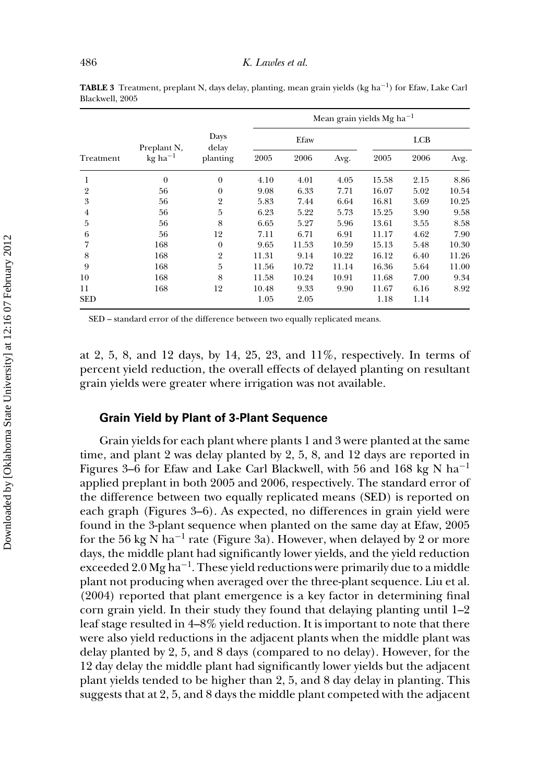| Treatment      | Preplant N,<br>$kg$ ha <sup>-1</sup> | Days<br>delay<br>planting | Mean grain yields Mg $ha^{-1}$ |       |       |       |      |       |
|----------------|--------------------------------------|---------------------------|--------------------------------|-------|-------|-------|------|-------|
|                |                                      |                           | Efaw                           |       |       | LCB   |      |       |
|                |                                      |                           | 2005                           | 2006  | Avg.  | 2005  | 2006 | Avg.  |
| 1              | $\theta$                             | $\theta$                  | 4.10                           | 4.01  | 4.05  | 15.58 | 2.15 | 8.86  |
| $\overline{2}$ | 56                                   | $\theta$                  | 9.08                           | 6.33  | 7.71  | 16.07 | 5.02 | 10.54 |
| 3              | 56                                   | $\overline{2}$            | 5.83                           | 7.44  | 6.64  | 16.81 | 3.69 | 10.25 |
| 4              | 56                                   | 5                         | 6.23                           | 5.22  | 5.73  | 15.25 | 3.90 | 9.58  |
| 5              | 56                                   | 8                         | 6.65                           | 5.27  | 5.96  | 13.61 | 3.55 | 8.58  |
| 6              | 56                                   | 12                        | 7.11                           | 6.71  | 6.91  | 11.17 | 4.62 | 7.90  |
| 7              | 168                                  | $\mathbf{0}$              | 9.65                           | 11.53 | 10.59 | 15.13 | 5.48 | 10.30 |
| 8              | 168                                  | $\overline{2}$            | 11.31                          | 9.14  | 10.22 | 16.12 | 6.40 | 11.26 |
| 9              | 168                                  | 5                         | 11.56                          | 10.72 | 11.14 | 16.36 | 5.64 | 11.00 |
| 10             | 168                                  | 8                         | 11.58                          | 10.24 | 10.91 | 11.68 | 7.00 | 9.34  |
| 11             | 168                                  | 12                        | 10.48                          | 9.33  | 9.90  | 11.67 | 6.16 | 8.92  |
| <b>SED</b>     |                                      |                           | 1.05                           | 2.05  |       | 1.18  | 1.14 |       |

**TABLE 3** Treatment, preplant N, days delay, planting, mean grain yields (kg ha−1) for Efaw, Lake Carl Blackwell, 2005

SED – standard error of the difference between two equally replicated means.

at 2, 5, 8, and 12 days, by 14, 25, 23, and 11%, respectively. In terms of percent yield reduction, the overall effects of delayed planting on resultant grain yields were greater where irrigation was not available.

### **Grain Yield by Plant of 3-Plant Sequence**

Grain yields for each plant where plants 1 and 3 were planted at the same time, and plant 2 was delay planted by 2, 5, 8, and 12 days are reported in Figures 3–6 for Efaw and Lake Carl Blackwell, with 56 and 168 kg N ha<sup>-1</sup> applied preplant in both 2005 and 2006, respectively. The standard error of the difference between two equally replicated means (SED) is reported on each graph (Figures 3–6). As expected, no differences in grain yield were found in the 3-plant sequence when planted on the same day at Efaw, 2005 for the 56 kg N ha<sup>-1</sup> rate (Figure 3a). However, when delayed by 2 or more days, the middle plant had significantly lower yields, and the yield reduction exceeded 2.0 Mg ha−1. These yield reductions were primarily due to a middle plant not producing when averaged over the three-plant sequence. Liu et al. (2004) reported that plant emergence is a key factor in determining final corn grain yield. In their study they found that delaying planting until 1–2 leaf stage resulted in 4–8% yield reduction. It is important to note that there were also yield reductions in the adjacent plants when the middle plant was delay planted by 2, 5, and 8 days (compared to no delay). However, for the 12 day delay the middle plant had significantly lower yields but the adjacent plant yields tended to be higher than 2, 5, and 8 day delay in planting. This suggests that at 2, 5, and 8 days the middle plant competed with the adjacent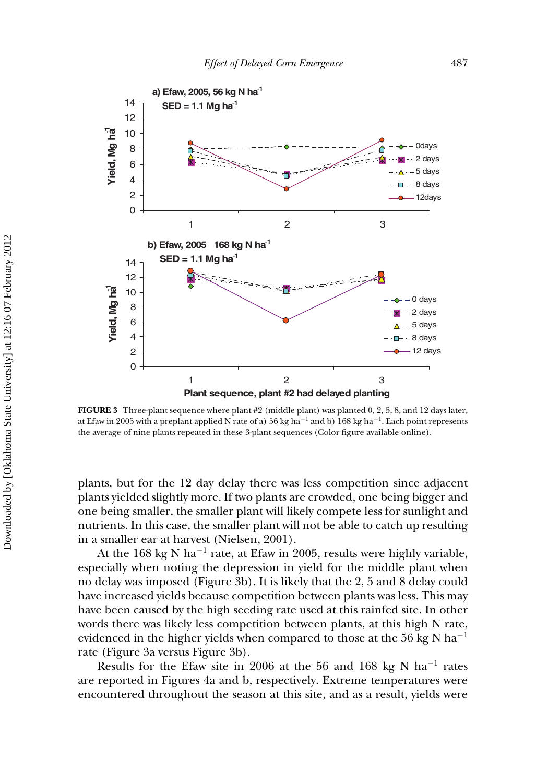

**FIGURE 3** Three-plant sequence where plant #2 (middle plant) was planted 0, 2, 5, 8, and 12 days later, at Efaw in 2005 with a preplant applied N rate of a) 56 kg ha<sup>-1</sup> and b) 168 kg ha<sup>-1</sup>. Each point represents the average of nine plants repeated in these 3-plant sequences (Color figure available online).

plants, but for the 12 day delay there was less competition since adjacent plants yielded slightly more. If two plants are crowded, one being bigger and one being smaller, the smaller plant will likely compete less for sunlight and nutrients. In this case, the smaller plant will not be able to catch up resulting in a smaller ear at harvest (Nielsen, 2001).

At the 168 kg N ha<sup>-1</sup> rate, at Efaw in 2005, results were highly variable, especially when noting the depression in yield for the middle plant when no delay was imposed (Figure 3b). It is likely that the 2, 5 and 8 delay could have increased yields because competition between plants was less. This may have been caused by the high seeding rate used at this rainfed site. In other words there was likely less competition between plants, at this high N rate, evidenced in the higher yields when compared to those at the 56 kg N ha<sup>-1</sup> rate (Figure 3a versus Figure 3b).

Results for the Efaw site in 2006 at the 56 and 168 kg N ha−<sup>1</sup> rates are reported in Figures 4a and b, respectively. Extreme temperatures were encountered throughout the season at this site, and as a result, yields were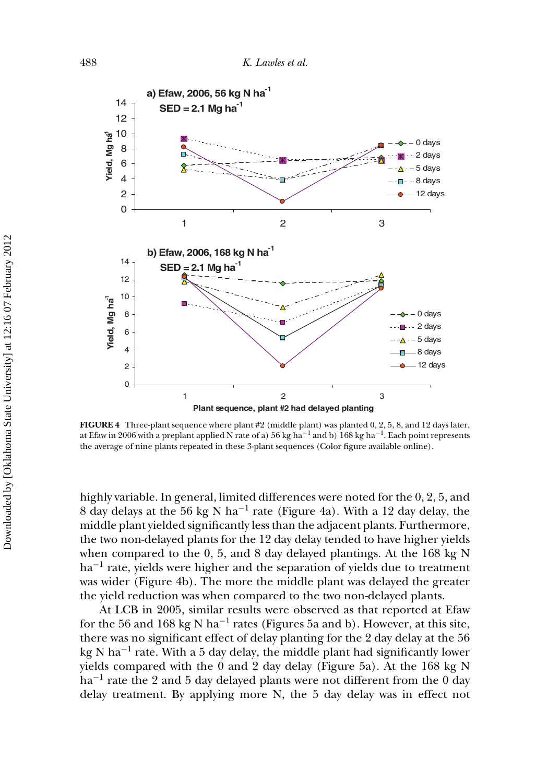

**FIGURE 4** Three-plant sequence where plant #2 (middle plant) was planted 0, 2, 5, 8, and 12 days later, at Efaw in 2006 with a preplant applied N rate of a) 56 kg ha<sup>-1</sup> and b) 168 kg ha<sup>-1</sup>. Each point represents the average of nine plants repeated in these 3-plant sequences (Color figure available online).

highly variable. In general, limited differences were noted for the 0, 2, 5, and 8 day delays at the 56 kg N ha−<sup>1</sup> rate (Figure 4a). With a 12 day delay, the middle plant yielded significantly less than the adjacent plants. Furthermore, the two non-delayed plants for the 12 day delay tended to have higher yields when compared to the 0, 5, and 8 day delayed plantings. At the 168 kg N ha<sup>-1</sup> rate, yields were higher and the separation of yields due to treatment was wider (Figure 4b). The more the middle plant was delayed the greater the yield reduction was when compared to the two non-delayed plants.

At LCB in 2005, similar results were observed as that reported at Efaw for the 56 and 168 kg N ha<sup>-1</sup> rates (Figures 5a and b). However, at this site, there was no significant effect of delay planting for the 2 day delay at the 56 kg N ha−<sup>1</sup> rate. With a 5 day delay, the middle plant had significantly lower yields compared with the 0 and 2 day delay (Figure 5a). At the 168 kg N ha<sup>-1</sup> rate the 2 and 5 day delayed plants were not different from the 0 day delay treatment. By applying more N, the 5 day delay was in effect not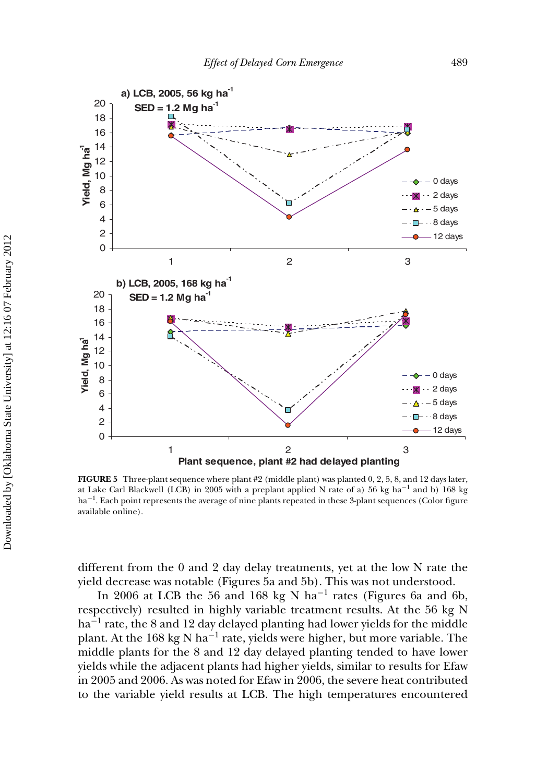

**FIGURE 5** Three-plant sequence where plant #2 (middle plant) was planted 0, 2, 5, 8, and 12 days later, at Lake Carl Blackwell (LCB) in 2005 with a preplant applied N rate of a) 56 kg ha−<sup>1</sup> and b) 168 kg ha<sup>-1</sup>. Each point represents the average of nine plants repeated in these 3-plant sequences (Color figure available online).

different from the 0 and 2 day delay treatments, yet at the low N rate the yield decrease was notable (Figures 5a and 5b). This was not understood.

In 2006 at LCB the 56 and 168 kg N ha−<sup>1</sup> rates (Figures 6a and 6b, respectively) resulted in highly variable treatment results. At the 56 kg N ha<sup>-1</sup> rate, the 8 and 12 day delayed planting had lower yields for the middle plant. At the 168 kg N ha−<sup>1</sup> rate, yields were higher, but more variable. The middle plants for the 8 and 12 day delayed planting tended to have lower yields while the adjacent plants had higher yields, similar to results for Efaw in 2005 and 2006. As was noted for Efaw in 2006, the severe heat contributed to the variable yield results at LCB. The high temperatures encountered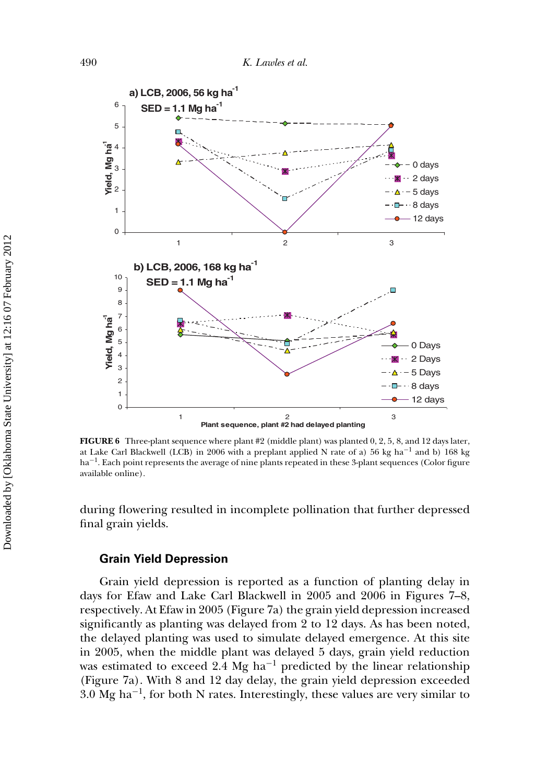

**FIGURE 6** Three-plant sequence where plant #2 (middle plant) was planted 0, 2, 5, 8, and 12 days later, at Lake Carl Blackwell (LCB) in 2006 with a preplant applied N rate of a) 56 kg ha<sup>-1</sup> and b) 168 kg ha<sup>-1</sup>. Each point represents the average of nine plants repeated in these 3-plant sequences (Color figure available online).

during flowering resulted in incomplete pollination that further depressed final grain yields.

#### **Grain Yield Depression**

Grain yield depression is reported as a function of planting delay in days for Efaw and Lake Carl Blackwell in 2005 and 2006 in Figures 7–8, respectively. At Efaw in 2005 (Figure 7a) the grain yield depression increased significantly as planting was delayed from 2 to 12 days. As has been noted, the delayed planting was used to simulate delayed emergence. At this site in 2005, when the middle plant was delayed 5 days, grain yield reduction was estimated to exceed 2.4 Mg ha<sup> $-1$ </sup> predicted by the linear relationship (Figure 7a). With 8 and 12 day delay, the grain yield depression exceeded 3.0 Mg ha−1, for both N rates. Interestingly, these values are very similar to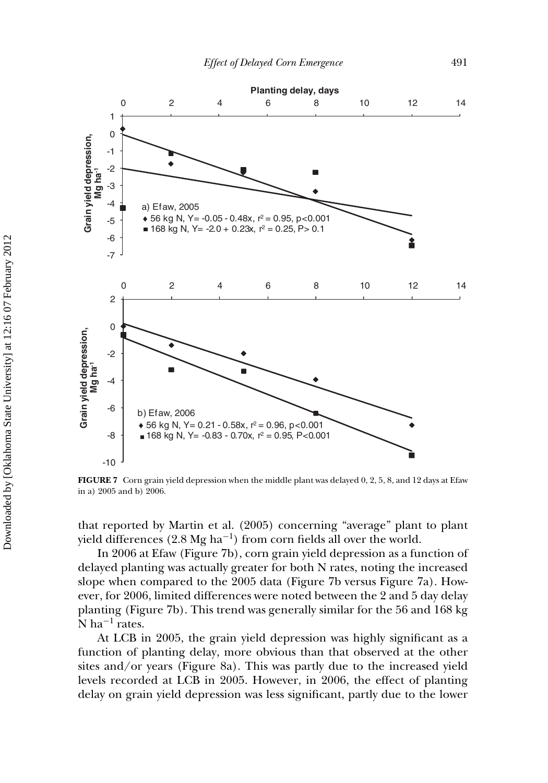

**FIGURE 7** Corn grain yield depression when the middle plant was delayed 0, 2, 5, 8, and 12 days at Efaw in a) 2005 and b) 2006.

that reported by Martin et al. (2005) concerning "average" plant to plant yield differences  $(2.8 \text{ Mg ha}^{-1})$  from corn fields all over the world.

In 2006 at Efaw (Figure 7b), corn grain yield depression as a function of delayed planting was actually greater for both N rates, noting the increased slope when compared to the 2005 data (Figure 7b versus Figure 7a). However, for 2006, limited differences were noted between the 2 and 5 day delay planting (Figure 7b). This trend was generally similar for the 56 and 168 kg  $\overline{N}$  ha<sup>-1</sup> rates.

At LCB in 2005, the grain yield depression was highly significant as a function of planting delay, more obvious than that observed at the other sites and/or years (Figure 8a). This was partly due to the increased yield levels recorded at LCB in 2005. However, in 2006, the effect of planting delay on grain yield depression was less significant, partly due to the lower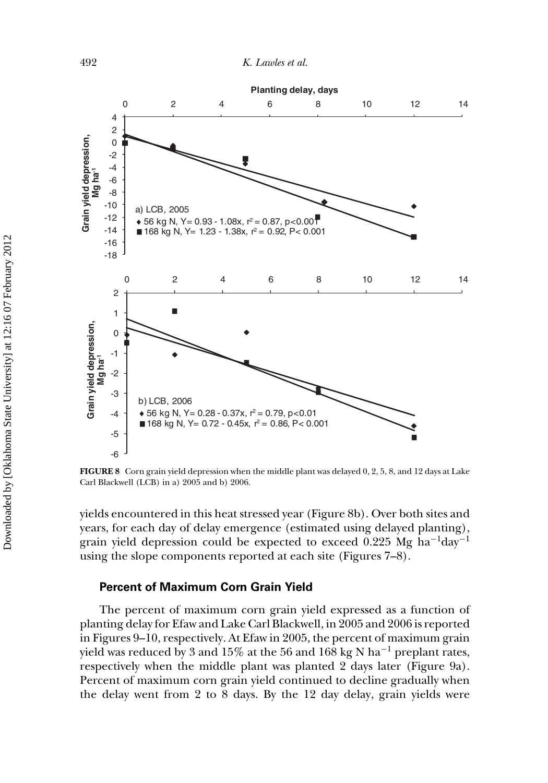

**FIGURE 8** Corn grain yield depression when the middle plant was delayed 0, 2, 5, 8, and 12 days at Lake Carl Blackwell (LCB) in a) 2005 and b) 2006.

yields encountered in this heat stressed year (Figure 8b). Over both sites and years, for each day of delay emergence (estimated using delayed planting), grain yield depression could be expected to exceed 0.225 Mg ha<sup>-1</sup>day<sup>-1</sup> using the slope components reported at each site (Figures 7–8).

#### **Percent of Maximum Corn Grain Yield**

The percent of maximum corn grain yield expressed as a function of planting delay for Efaw and Lake Carl Blackwell, in 2005 and 2006 is reported in Figures 9–10, respectively. At Efaw in 2005, the percent of maximum grain yield was reduced by 3 and 15% at the 56 and 168 kg N ha−<sup>1</sup> preplant rates, respectively when the middle plant was planted 2 days later (Figure 9a). Percent of maximum corn grain yield continued to decline gradually when the delay went from 2 to 8 days. By the 12 day delay, grain yields were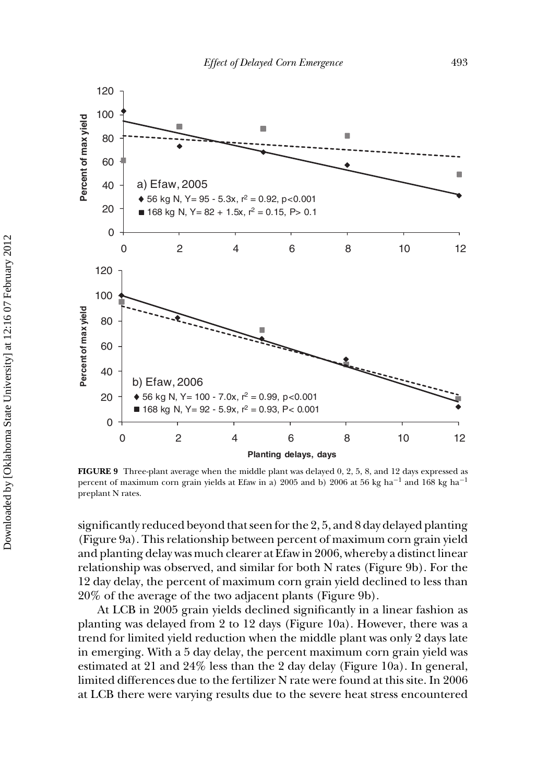

**FIGURE 9** Three-plant average when the middle plant was delayed 0, 2, 5, 8, and 12 days expressed as percent of maximum corn grain yields at Efaw in a) 2005 and b) 2006 at 56 kg ha<sup>-1</sup> and 168 kg ha<sup>-1</sup> preplant N rates.

significantly reduced beyond that seen for the 2, 5, and 8 day delayed planting (Figure 9a). This relationship between percent of maximum corn grain yield and planting delay was much clearer at Efaw in 2006, whereby a distinct linear relationship was observed, and similar for both N rates (Figure 9b). For the 12 day delay, the percent of maximum corn grain yield declined to less than 20% of the average of the two adjacent plants (Figure 9b).

At LCB in 2005 grain yields declined significantly in a linear fashion as planting was delayed from 2 to 12 days (Figure 10a). However, there was a trend for limited yield reduction when the middle plant was only 2 days late in emerging. With a 5 day delay, the percent maximum corn grain yield was estimated at 21 and 24% less than the 2 day delay (Figure 10a). In general, limited differences due to the fertilizer N rate were found at this site. In 2006 at LCB there were varying results due to the severe heat stress encountered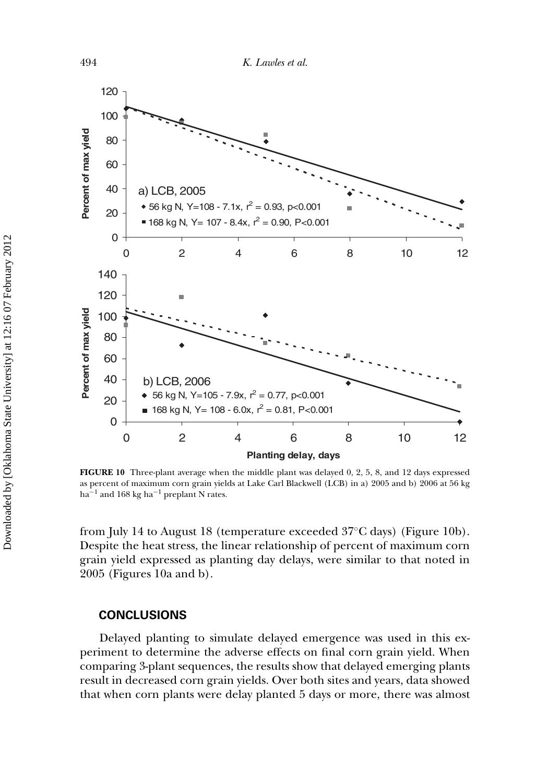

**FIGURE 10** Three-plant average when the middle plant was delayed 0, 2, 5, 8, and 12 days expressed as percent of maximum corn grain yields at Lake Carl Blackwell (LCB) in a) 2005 and b) 2006 at 56 kg ha<sup>-1</sup> and 168 kg ha<sup>-1</sup> preplant N rates.

from July 14 to August 18 (temperature exceeded 37◦C days) (Figure 10b). Despite the heat stress, the linear relationship of percent of maximum corn grain yield expressed as planting day delays, were similar to that noted in 2005 (Figures 10a and b).

#### **CONCLUSIONS**

Delayed planting to simulate delayed emergence was used in this experiment to determine the adverse effects on final corn grain yield. When comparing 3-plant sequences, the results show that delayed emerging plants result in decreased corn grain yields. Over both sites and years, data showed that when corn plants were delay planted 5 days or more, there was almost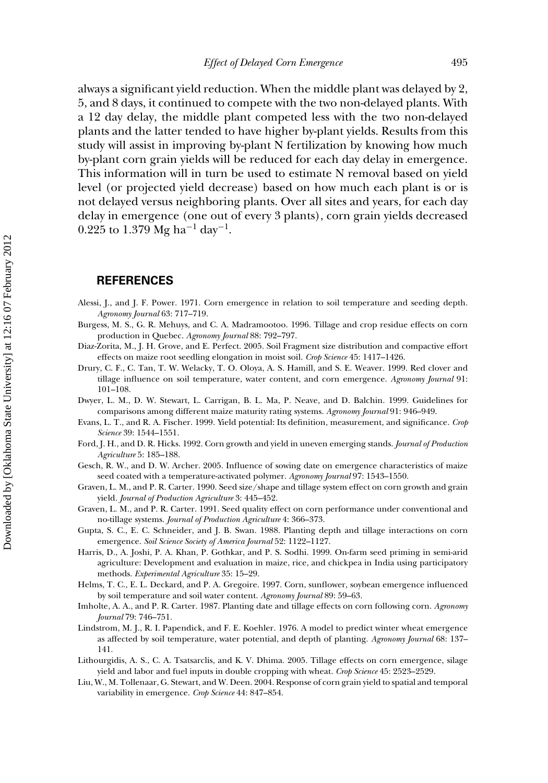always a significant yield reduction. When the middle plant was delayed by 2, 5, and 8 days, it continued to compete with the two non-delayed plants. With a 12 day delay, the middle plant competed less with the two non-delayed plants and the latter tended to have higher by-plant yields. Results from this study will assist in improving by-plant N fertilization by knowing how much by-plant corn grain yields will be reduced for each day delay in emergence. This information will in turn be used to estimate N removal based on yield level (or projected yield decrease) based on how much each plant is or is not delayed versus neighboring plants. Over all sites and years, for each day delay in emergence (one out of every 3 plants), corn grain yields decreased 0.225 to 1.379 Mg ha<sup>-1</sup> day<sup>-1</sup>.

#### **REFERENCES**

- Alessi, J., and J. F. Power. 1971. Corn emergence in relation to soil temperature and seeding depth. *Agronomy Journal* 63: 717–719.
- Burgess, M. S., G. R. Mehuys, and C. A. Madramootoo. 1996. Tillage and crop residue effects on corn production in Quebec. *Agronomy Journal* 88: 792–797.
- Diaz-Zorita, M., J. H. Grove, and E. Perfect. 2005. Soil Fragment size distribution and compactive effort effects on maize root seedling elongation in moist soil. *Crop Science* 45: 1417–1426.
- Drury, C. F., C. Tan, T. W. Welacky, T. O. Oloya, A. S. Hamill, and S. E. Weaver. 1999. Red clover and tillage influence on soil temperature, water content, and corn emergence. *Agronomy Journal* 91: 101–108.
- Dwyer, L. M., D. W. Stewart, L. Carrigan, B. L. Ma, P. Neave, and D. Balchin. 1999. Guidelines for comparisons among different maize maturity rating systems. *Agronomy Journal* 91: 946–949.
- Evans, L. T., and R. A. Fischer. 1999. Yield potential: Its definition, measurement, and significance. *Crop Science* 39: 1544–1551.
- Ford, J. H., and D. R. Hicks. 1992. Corn growth and yield in uneven emerging stands. *Journal of Production Agriculture* 5: 185–188.
- Gesch, R. W., and D. W. Archer. 2005. Influence of sowing date on emergence characteristics of maize seed coated with a temperature-activated polymer. *Agronomy Journal* 97: 1543–1550.
- Graven, L. M., and P. R. Carter. 1990. Seed size/shape and tillage system effect on corn growth and grain yield. *Journal of Production Agriculture* 3: 445–452.
- Graven, L. M., and P. R. Carter. 1991. Seed quality effect on corn performance under conventional and no-tillage systems. *Journal of Production Agriculture* 4: 366–373.
- Gupta, S. C., E. C. Schneider, and J. B. Swan. 1988. Planting depth and tillage interactions on corn emergence. *Soil Science Society of America Journal* 52: 1122–1127.
- Harris, D., A. Joshi, P. A. Khan, P. Gothkar, and P. S. Sodhi. 1999. On-farm seed priming in semi-arid agriculture: Development and evaluation in maize, rice, and chickpea in India using participatory methods. *Experimental Agriculture* 35: 15–29.
- Helms, T. C., E. L. Deckard, and P. A. Gregoire. 1997. Corn, sunflower, soybean emergence influenced by soil temperature and soil water content. *Agronomy Journal* 89: 59–63.
- Imholte, A. A., and P. R. Carter. 1987. Planting date and tillage effects on corn following corn. *Agronomy Journal* 79: 746–751.
- Lindstrom, M. J., R. I. Papendick, and F. E. Koehler. 1976. A model to predict winter wheat emergence as affected by soil temperature, water potential, and depth of planting. *Agronomy Journal* 68: 137– 141.
- Lithourgidis, A. S., C. A. Tsatsarclis, and K. V. Dhima. 2005. Tillage effects on corn emergence, silage yield and labor and fuel inputs in double cropping with wheat. *Crop Science* 45: 2523–2529.
- Liu, W., M. Tollenaar, G. Stewart, and W. Deen. 2004. Response of corn grain yield to spatial and temporal variability in emergence. *Crop Science* 44: 847–854.